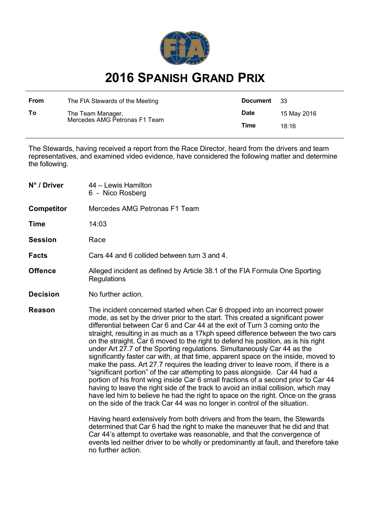

## **2016 SPANISH GRAND PRIX**

| From | The FIA Stewards of the Meeting                    | Document    | -33         |
|------|----------------------------------------------------|-------------|-------------|
| To   | The Team Manager,<br>Mercedes AMG Petronas F1 Team | <b>Date</b> | 15 May 2016 |
|      |                                                    | Time        | 18:16       |

The Stewards, having received a report from the Race Director, heard from the drivers and team representatives, and examined video evidence, have considered the following matter and determine the following.

| N° / Driver       | 44 – Lewis Hamilton<br>6 - Nico Rosberg                                                                                                                                                                                                                                                                                                                                                                                                                                                                                                                                                                                                                                                                                                                                                                                                                                                                                                                                                                                                                                                                                                                                                                                                                                                                                                                                                                                                       |  |
|-------------------|-----------------------------------------------------------------------------------------------------------------------------------------------------------------------------------------------------------------------------------------------------------------------------------------------------------------------------------------------------------------------------------------------------------------------------------------------------------------------------------------------------------------------------------------------------------------------------------------------------------------------------------------------------------------------------------------------------------------------------------------------------------------------------------------------------------------------------------------------------------------------------------------------------------------------------------------------------------------------------------------------------------------------------------------------------------------------------------------------------------------------------------------------------------------------------------------------------------------------------------------------------------------------------------------------------------------------------------------------------------------------------------------------------------------------------------------------|--|
| <b>Competitor</b> | Mercedes AMG Petronas F1 Team                                                                                                                                                                                                                                                                                                                                                                                                                                                                                                                                                                                                                                                                                                                                                                                                                                                                                                                                                                                                                                                                                                                                                                                                                                                                                                                                                                                                                 |  |
| <b>Time</b>       | 14:03                                                                                                                                                                                                                                                                                                                                                                                                                                                                                                                                                                                                                                                                                                                                                                                                                                                                                                                                                                                                                                                                                                                                                                                                                                                                                                                                                                                                                                         |  |
| <b>Session</b>    | Race                                                                                                                                                                                                                                                                                                                                                                                                                                                                                                                                                                                                                                                                                                                                                                                                                                                                                                                                                                                                                                                                                                                                                                                                                                                                                                                                                                                                                                          |  |
| <b>Facts</b>      | Cars 44 and 6 collided between turn 3 and 4.                                                                                                                                                                                                                                                                                                                                                                                                                                                                                                                                                                                                                                                                                                                                                                                                                                                                                                                                                                                                                                                                                                                                                                                                                                                                                                                                                                                                  |  |
| <b>Offence</b>    | Alleged incident as defined by Article 38.1 of the FIA Formula One Sporting<br>Regulations                                                                                                                                                                                                                                                                                                                                                                                                                                                                                                                                                                                                                                                                                                                                                                                                                                                                                                                                                                                                                                                                                                                                                                                                                                                                                                                                                    |  |
| <b>Decision</b>   | No further action.                                                                                                                                                                                                                                                                                                                                                                                                                                                                                                                                                                                                                                                                                                                                                                                                                                                                                                                                                                                                                                                                                                                                                                                                                                                                                                                                                                                                                            |  |
| <b>Reason</b>     | The incident concerned started when Car 6 dropped into an incorrect power<br>mode, as set by the driver prior to the start. This created a significant power<br>differential between Car 6 and Car 44 at the exit of Turn 3 coming onto the<br>straight, resulting in as much as a 17kph speed difference between the two cars<br>on the straight. Car 6 moved to the right to defend his position, as is his right<br>under Art 27.7 of the Sporting regulations. Simultaneously Car 44 as the<br>significantly faster car with, at that time, apparent space on the inside, moved to<br>make the pass. Art 27.7 requires the leading driver to leave room, if there is a<br>"significant portion" of the car attempting to pass alongside. Car 44 had a<br>portion of his front wing inside Car 6 small fractions of a second prior to Car 44<br>having to leave the right side of the track to avoid an initial collision, which may<br>have led him to believe he had the right to space on the right. Once on the grass<br>on the side of the track Car 44 was no longer in control of the situation.<br>Having heard extensively from both drivers and from the team, the Stewards<br>determined that Car 6 had the right to make the maneuver that he did and that<br>Car 44's attempt to overtake was reasonable, and that the convergence of<br>events led neither driver to be wholly or predominantly at fault, and therefore take |  |

no further action.